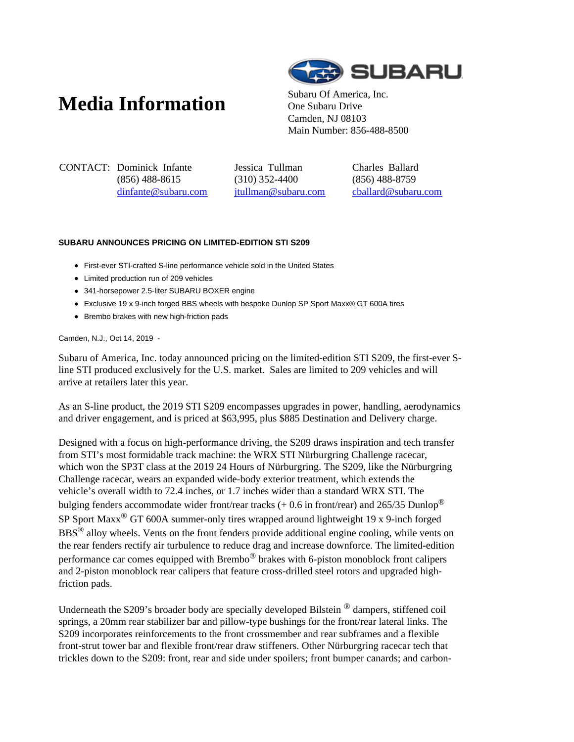## **Media Information** Subaru Of America, Inc.



One Subaru Drive Camden, NJ 08103 Main Number: 856-488-8500

CONTACT: Dominick Infante (856) 488-8615 dinfante@subaru.com Jessica Tullman (310) 352-4400 jtullman@subaru.com Charles Ballard (856) 488-8759 cballard@subaru.com

## **SUBARU ANNOUNCES PRICING ON LIMITED-EDITION STI S209**

- First-ever STI-crafted S-line performance vehicle sold in the United States
- Limited production run of 209 vehicles
- 341-horsepower 2.5-liter SUBARU BOXER engine
- Exclusive 19 x 9-inch forged BBS wheels with bespoke Dunlop SP Sport Maxx® GT 600A tires
- Brembo brakes with new high-friction pads

Camden, N.J., Oct 14, 2019 -

Subaru of America, Inc. today announced pricing on the limited-edition STI S209, the first-ever Sline STI produced exclusively for the U.S. market. Sales are limited to 209 vehicles and will arrive at retailers later this year.

As an S-line product, the 2019 STI S209 encompasses upgrades in power, handling, aerodynamics and driver engagement, and is priced at \$63,995, plus \$885 Destination and Delivery charge.

Designed with a focus on high-performance driving, the S209 draws inspiration and tech transfer from STI's most formidable track machine: the WRX STI Nürburgring Challenge racecar, which won the SP3T class at the 2019 24 Hours of Nürburgring. The S209, like the Nürburgring Challenge racecar, wears an expanded wide-body exterior treatment, which extends the vehicle's overall width to 72.4 inches, or 1.7 inches wider than a standard WRX STI. The bulging fenders accommodate wider front/rear tracks (+ 0.6 in front/rear) and 265/35 Dunlop<sup>®</sup> SP Sport Maxx® GT 600A summer-only tires wrapped around lightweight 19 x 9-inch forged BBS® alloy wheels. Vents on the front fenders provide additional engine cooling, while vents on the rear fenders rectify air turbulence to reduce drag and increase downforce. The limited-edition performance car comes equipped with Brembo® brakes with 6-piston monoblock front calipers and 2-piston monoblock rear calipers that feature cross-drilled steel rotors and upgraded highfriction pads.

Underneath the S209's broader body are specially developed Bilstein <sup>®</sup> dampers, stiffened coil springs, a 20mm rear stabilizer bar and pillow-type bushings for the front/rear lateral links. The S209 incorporates reinforcements to the front crossmember and rear subframes and a flexible front-strut tower bar and flexible front/rear draw stiffeners. Other Nürburgring racecar tech that trickles down to the S209: front, rear and side under spoilers; front bumper canards; and carbon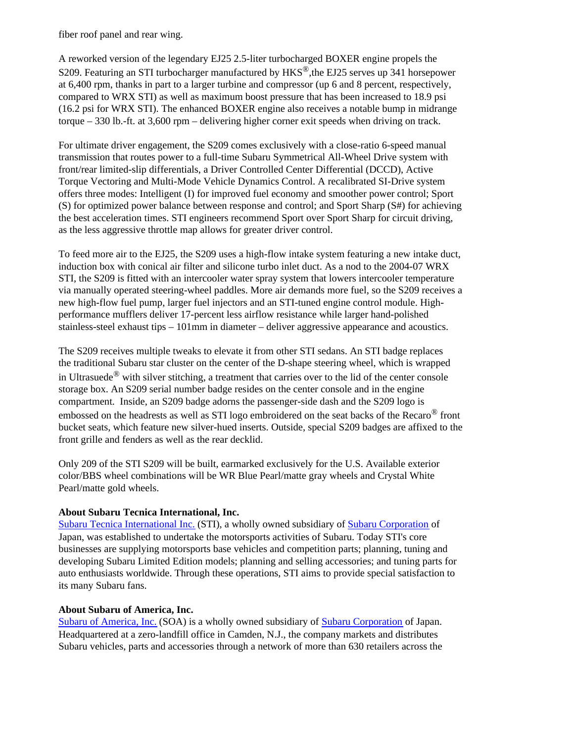fiber roof panel and rear wing.

A reworked version of the legendary EJ25 2.5-liter turbocharged BOXER engine propels the S209. Featuring an STI turbocharger manufactured by HKS®,the EJ25 serves up 341 horsepower at 6,400 rpm, thanks in part to a larger turbine and compressor (up 6 and 8 percent, respectively, compared to WRX STI) as well as maximum boost pressure that has been increased to 18.9 psi (16.2 psi for WRX STI). The enhanced BOXER engine also receives a notable bump in midrange torque – 330 lb.-ft. at 3,600 rpm – delivering higher corner exit speeds when driving on track.

For ultimate driver engagement, the S209 comes exclusively with a close-ratio 6-speed manual transmission that routes power to a full-time Subaru Symmetrical All-Wheel Drive system with front/rear limited-slip differentials, a Driver Controlled Center Differential (DCCD), Active Torque Vectoring and Multi-Mode Vehicle Dynamics Control. A recalibrated SI-Drive system offers three modes: Intelligent (I) for improved fuel economy and smoother power control; Sport (S) for optimized power balance between response and control; and Sport Sharp (S#) for achieving the best acceleration times. STI engineers recommend Sport over Sport Sharp for circuit driving, as the less aggressive throttle map allows for greater driver control.

To feed more air to the EJ25, the S209 uses a high-flow intake system featuring a new intake duct, induction box with conical air filter and silicone turbo inlet duct. As a nod to the 2004-07 WRX STI, the S209 is fitted with an intercooler water spray system that lowers intercooler temperature via manually operated steering-wheel paddles. More air demands more fuel, so the S209 receives a new high-flow fuel pump, larger fuel injectors and an STI-tuned engine control module. Highperformance mufflers deliver 17-percent less airflow resistance while larger hand-polished stainless-steel exhaust tips – 101mm in diameter – deliver aggressive appearance and acoustics.

The S209 receives multiple tweaks to elevate it from other STI sedans. An STI badge replaces the traditional Subaru star cluster on the center of the D-shape steering wheel, which is wrapped in Ultrasuede<sup>®</sup> with silver stitching, a treatment that carries over to the lid of the center console storage box. An S209 serial number badge resides on the center console and in the engine compartment. Inside, an S209 badge adorns the passenger-side dash and the S209 logo is embossed on the headrests as well as STI logo embroidered on the seat backs of the Recaro® front bucket seats, which feature new silver-hued inserts. Outside, special S209 badges are affixed to the front grille and fenders as well as the rear decklid.

Only 209 of the STI S209 will be built, earmarked exclusively for the U.S. Available exterior color/BBS wheel combinations will be WR Blue Pearl/matte gray wheels and Crystal White Pearl/matte gold wheels.

## **About Subaru Tecnica International, Inc.**

Subaru Tecnica International Inc. (STI), a wholly owned subsidiary of Subaru Corporation of Japan, was established to undertake the motorsports activities of Subaru. Today STI's core businesses are supplying motorsports base vehicles and competition parts; planning, tuning and developing Subaru Limited Edition models; planning and selling accessories; and tuning parts for auto enthusiasts worldwide. Through these operations, STI aims to provide special satisfaction to its many Subaru fans.

## **About Subaru of America, Inc.**

Subaru of America, Inc. (SOA) is a wholly owned subsidiary of Subaru Corporation of Japan. Headquartered at a zero-landfill office in Camden, N.J., the company markets and distributes Subaru vehicles, parts and accessories through a network of more than 630 retailers across the